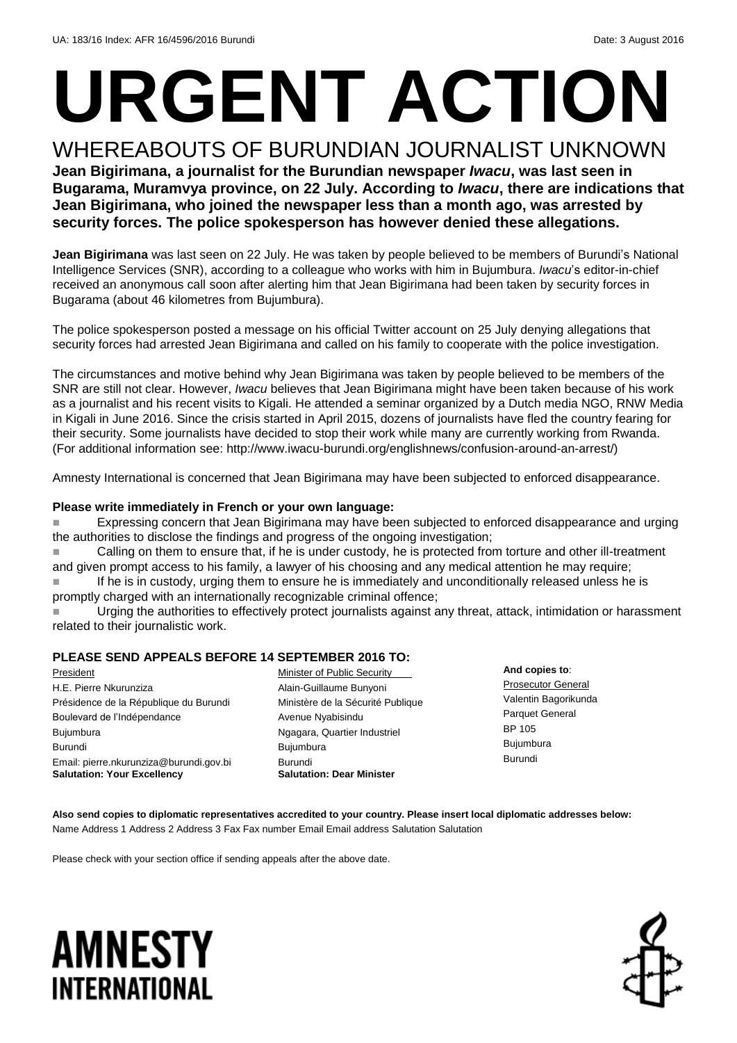# **URGENT ACTION** WHEREABOUTS OF BURUNDIAN JOURNALIST UNKNOWN

**Jean Bigirimana, a journalist for the Burundian newspaper** *Iwacu***, was last seen in Bugarama, Muramvya province, on 22 July. According to** *Iwacu***, there are indications that Jean Bigirimana, who joined the newspaper less than a month ago, was arrested by security forces. The police spokesperson has however denied these allegations.** 

**Jean Bigirimana** was last seen on 22 July. He was taken by people believed to be members of Burundi's National Intelligence Services (SNR), according to a colleague who works with him in Bujumbura. *Iwacu*'s editor-in-chief received an anonymous call soon after alerting him that Jean Bigirimana had been taken by security forces in Bugarama (about 46 kilometres from Bujumbura).

The police spokesperson posted a message on his official Twitter account on 25 July denying allegations that security forces had arrested Jean Bigirimana and called on his family to cooperate with the police investigation.

The circumstances and motive behind why Jean Bigirimana was taken by people believed to be members of the SNR are still not clear. However, *Iwacu* believes that Jean Bigirimana might have been taken because of his work as a journalist and his recent visits to Kigali. He attended a seminar organized by a Dutch media NGO, RNW Media in Kigali in June 2016. Since the crisis started in April 2015, dozens of journalists have fled the country fearing for their security. Some journalists have decided to stop their work while many are currently working from Rwanda. (For additional information see: http://www.iwacu-burundi.org/englishnews/confusion-around-an-arrest/)

Amnesty International is concerned that Jean Bigirimana may have been subjected to enforced disappearance.

### **Please write immediately in French or your own language:**

**Expressing concern that Jean Bigirimana may have been subjected to enforced disappearance and urging** the authorities to disclose the findings and progress of the ongoing investigation;

 Calling on them to ensure that, if he is under custody, he is protected from torture and other ill-treatment and given prompt access to his family, a lawyer of his choosing and any medical attention he may require; If he is in custody, urging them to ensure he is immediately and unconditionally released unless he is

promptly charged with an internationally recognizable criminal offence;

 Urging the authorities to effectively protect journalists against any threat, attack, intimidation or harassment related to their journalistic work.

### **PLEASE SEND APPEALS BEFORE 14 SEPTEMBER 2016 TO:**

President H.E. Pierre Nkurunziza Présidence de la République du Burundi Boulevard de l'Indépendance Bujumbura Burundi Email: pierre.nkurunziza@burundi.gov.bi **Salutation: Your Excellency**

Minister of Public Security Alain-Guillaume Bunyoni Ministère de la Sécurité Publique Avenue Nyabisindu Ngagara, Quartier Industriel Bujumbura Burundi **Salutation: Dear Minister**

**And copies to**: Prosecutor General Valentin Bagorikunda Parquet General BP 105 Bujumbura Burundi

**Also send copies to diplomatic representatives accredited to your country. Please insert local diplomatic addresses below:** Name Address 1 Address 2 Address 3 Fax Fax number Email Email address Salutation Salutation

Please check with your section office if sending appeals after the above date.